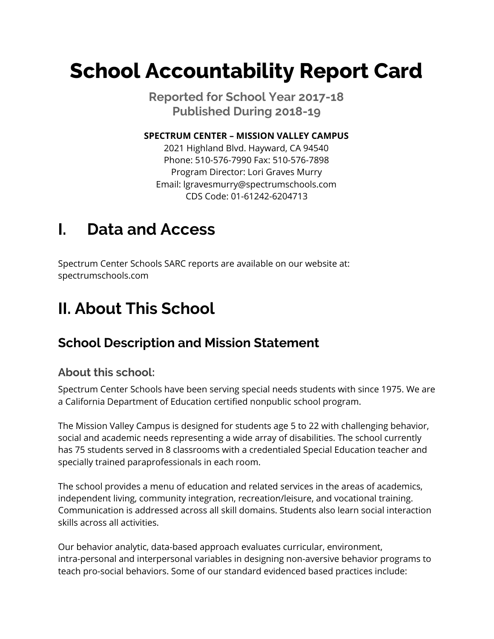# **School Accountability Report Card**

 **Reported for School Year 2017-18 Published During 2018-19**

 **SPECTRUM CENTER – MISSION VALLEY CAMPUS**

 2021 Highland Blvd. Hayward, CA 94540 Phone: 510-576-7990 Fax: 510-576-7898 Program Director: Lori Graves Murry CDS Code: 01-61242-6204713 Email: [lgravesmurry@spectrumschools.com](mailto:lgravesmurry@spectrumschools.com)

### **I. Data and Access**

 Spectrum Center Schools SARC reports are available on our website at: [spectrumschools.com](https://spectrumschools.com)

## **II. About This School**

### **School Description and Mission Statement**

#### **About this school:**

 Spectrum Center Schools have been serving special needs students with since 1975. We are a California Department of Education certified nonpublic school program.

 The Mission Valley Campus is designed for students age 5 to 22 with challenging behavior, social and academic needs representing a wide array of disabilities. The school currently has 75 students served in 8 classrooms with a credentialed Special Education teacher and specially trained paraprofessionals in each room.

 The school provides a menu of education and related services in the areas of academics, independent living, community integration, recreation/leisure, and vocational training. Communication is addressed across all skill domains. Students also learn social interaction skills across all activities.

 Our behavior analytic, data-based approach evaluates curricular, environment, intra-personal and interpersonal variables in designing non-aversive behavior programs to teach pro-social behaviors. Some of our standard evidenced based practices include: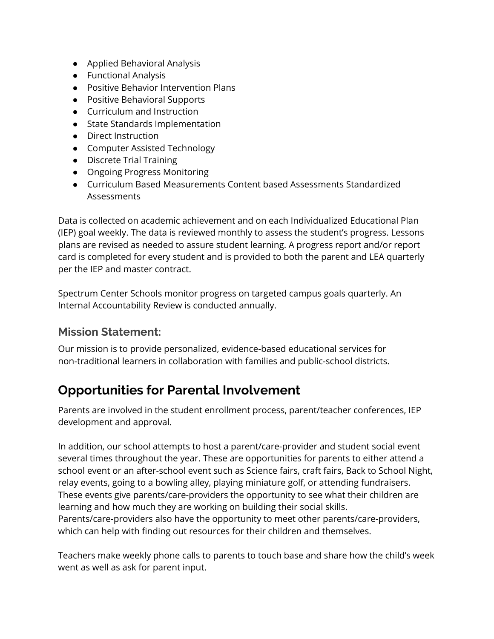- Applied Behavioral Analysis
- Functional Analysis
- Positive Behavior Intervention Plans
- Positive Behavioral Supports
- Curriculum and Instruction
- State Standards Implementation
- Direct Instruction
- Computer Assisted Technology
- Discrete Trial Training
- Ongoing Progress Monitoring
- ● Curriculum Based Measurements Content based Assessments Standardized **Assessments**

 Data is collected on academic achievement and on each Individualized Educational Plan (IEP) goal weekly. The data is reviewed monthly to assess the student's progress. Lessons plans are revised as needed to assure student learning. A progress report and/or report card is completed for every student and is provided to both the parent and LEA quarterly per the IEP and master contract.

 Spectrum Center Schools monitor progress on targeted campus goals quarterly. An Internal Accountability Review is conducted annually.

#### **Mission Statement:**

 Our mission is to provide personalized, evidence-based educational services for non-traditional learners in collaboration with families and public-school districts.

#### **Opportunities for Parental Involvement**

 Parents are involved in the student enrollment process, parent/teacher conferences, IEP development and approval.

 In addition, our school attempts to host a parent/care-provider and student social event several times throughout the year. These are opportunities for parents to either attend a school event or an after-school event such as Science fairs, craft fairs, Back to School Night, relay events, going to a bowling alley, playing miniature golf, or attending fundraisers. These events give parents/care-providers the opportunity to see what their children are learning and how much they are working on building their social skills. Parents/care-providers also have the opportunity to meet other parents/care-providers, which can help with finding out resources for their children and themselves.

 Teachers make weekly phone calls to parents to touch base and share how the child's week went as well as ask for parent input.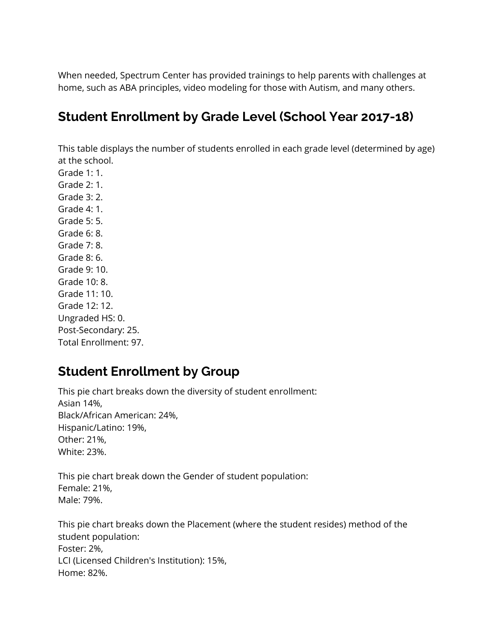When needed, Spectrum Center has provided trainings to help parents with challenges at home, such as ABA principles, video modeling for those with Autism, and many others.

### **Student Enrollment by Grade Level (School Year 2017-18)**

 This table displays the number of students enrolled in each grade level (determined by age) at the school.

 Grade 1: 1. Grade 2: 1. Grade 3: 2. Grade 4: 1. Grade 5: 5. Grade 6: 8. Grade 7: 8. Grade 8: 6. Grade 9: 10. Grade 10: 8. Grade 11: 10. Grade 12: 12. Ungraded HS: 0. Post-Secondary: 25. Total Enrollment: 97.

#### **Student Enrollment by Group**

 This pie chart breaks down the diversity of student enrollment: Black/African American: 24%, Asian 14%, Hispanic/Latino: 19%, Other: 21%, White: 23%.

 This pie chart break down the Gender of student population: Female: 21%, Male: 79%.

 This pie chart breaks down the Placement (where the student resides) method of the LCI (Licensed Children's Institution): 15%, student population: Foster: 2%, Home: 82%.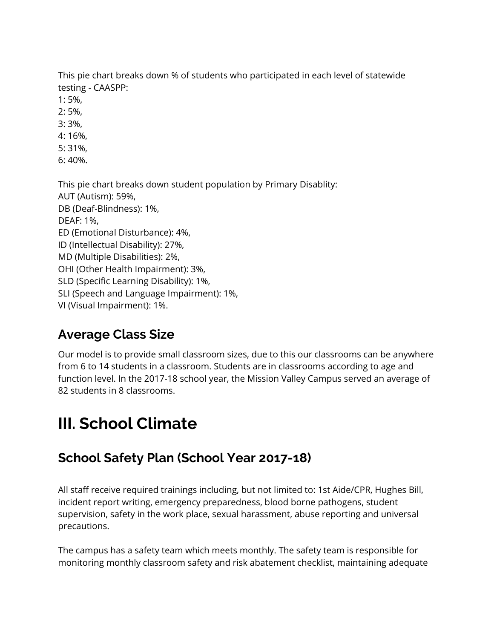This pie chart breaks down % of students who participated in each level of statewide testing - CAASPP:

1: 5%,

2: 5%,

3: 3%,

4: 16%,

5: 31%,

6: 40%.

 This pie chart breaks down student population by Primary Disablity: AUT (Autism): 59%, ID (Intellectual Disability): 27%, MD (Multiple Disabilities): 2%, OHI (Other Health Impairment): 3%, SLD (Specific Learning Disability): 1%, SLI (Speech and Language Impairment): 1%, VI (Visual Impairment): 1%. DB (Deaf-Blindness): 1%, DEAF: 1%, ED (Emotional Disturbance): 4%,

### **Average Class Size**

 Our model is to provide small classroom sizes, due to this our classrooms can be anywhere from 6 to 14 students in a classroom. Students are in classrooms according to age and function level. In the 2017-18 school year, the Mission Valley Campus served an average of 82 students in 8 classrooms.

## **III. School Climate**

### **School Safety Plan (School Year 2017-18)**

 All staff receive required trainings including, but not limited to: 1st Aide/CPR, Hughes Bill, incident report writing, emergency preparedness, blood borne pathogens, student supervision, safety in the work place, sexual harassment, abuse reporting and universal precautions.

 The campus has a safety team which meets monthly. The safety team is responsible for monitoring monthly classroom safety and risk abatement checklist, maintaining adequate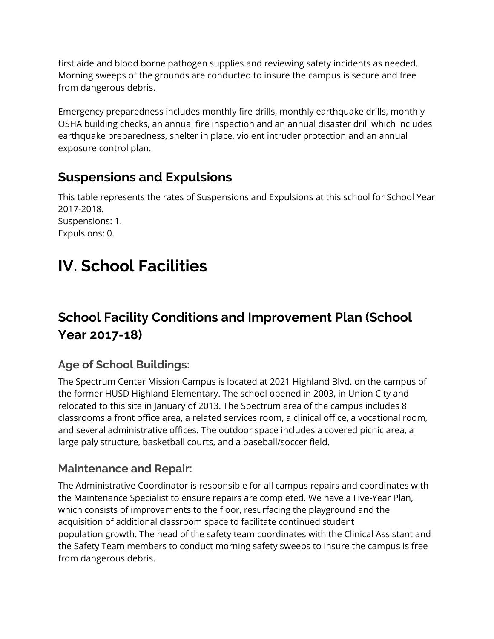first aide and blood borne pathogen supplies and reviewing safety incidents as needed. Morning sweeps of the grounds are conducted to insure the campus is secure and free from dangerous debris.

 Emergency preparedness includes monthly fire drills, monthly earthquake drills, monthly OSHA building checks, an annual fire inspection and an annual disaster drill which includes earthquake preparedness, shelter in place, violent intruder protection and an annual exposure control plan.

### **Suspensions and Expulsions**

 This table represents the rates of Suspensions and Expulsions at this school for School Year 2017-2018. Suspensions: 1. Expulsions: 0.

## **IV. School Facilities**

### **School Facility Conditions and Improvement Plan (School Year 2017-18)**

#### **Age of School Buildings:**

 The Spectrum Center Mission Campus is located at 2021 Highland Blvd. on the campus of the former HUSD Highland Elementary. The school opened in 2003, in Union City and relocated to this site in January of 2013. The Spectrum area of the campus includes 8 classrooms a front office area, a related services room, a clinical office, a vocational room, and several administrative offices. The outdoor space includes a covered picnic area, a large paly structure, basketball courts, and a baseball/soccer field.

#### **Maintenance and Repair:**

 The Administrative Coordinator is responsible for all campus repairs and coordinates with the Maintenance Specialist to ensure repairs are completed. We have a Five-Year Plan, which consists of improvements to the floor, resurfacing the playground and the acquisition of additional classroom space to facilitate continued student population growth. The head of the safety team coordinates with the Clinical Assistant and the Safety Team members to conduct morning safety sweeps to insure the campus is free from dangerous debris.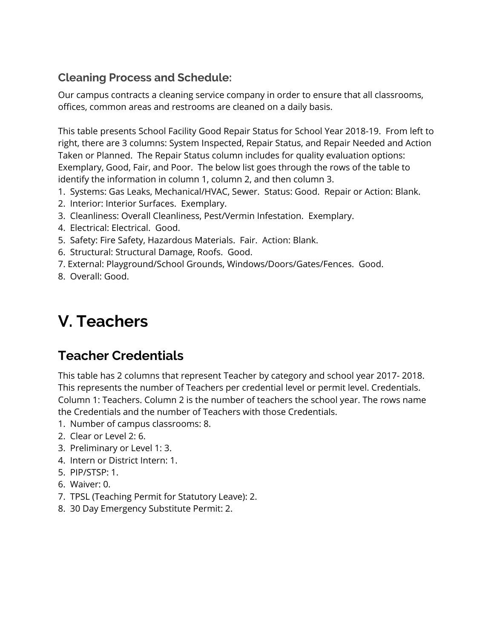#### **Cleaning Process and Schedule:**

 Our campus contracts a cleaning service company in order to ensure that all classrooms, offices, common areas and restrooms are cleaned on a daily basis.

 This table presents School Facility Good Repair Status for School Year 2018-19. From left to right, there are 3 columns: System Inspected, Repair Status, and Repair Needed and Action Taken or Planned. The Repair Status column includes for quality evaluation options: Exemplary, Good, Fair, and Poor. The below list goes through the rows of the table to identify the information in column 1, column 2, and then column 3.

- 1. Systems: Gas Leaks, Mechanical/HVAC, Sewer. Status: Good. Repair or Action: Blank.
- 2. Interior: Interior Surfaces. Exemplary.
- 3. Cleanliness: Overall Cleanliness, Pest/Vermin Infestation. Exemplary.
- 4. Electrical: Electrical. Good.
- 5. Safety: Fire Safety, Hazardous Materials. Fair. Action: Blank.
- 6. Structural: Structural Damage, Roofs. Good.
- 7. External: Playground/School Grounds, Windows/Doors/Gates/Fences. Good.
- 8. Overall: Good.

## **V. Teachers**

#### **Teacher Credentials**

 This table has 2 columns that represent Teacher by category and school year 2017- 2018. This represents the number of Teachers per credential level or permit level. Credentials. Column 1: Teachers. Column 2 is the number of teachers the school year. The rows name the Credentials and the number of Teachers with those Credentials.

- 1. Number of campus classrooms: 8.
- 2. Clear or Level 2: 6.
- 3. Preliminary or Level 1: 3.
- 4. Intern or District Intern: 1.
- 5. PIP/STSP: 1.
- 6. Waiver: 0.
- 7. TPSL (Teaching Permit for Statutory Leave): 2.
- 8. 30 Day Emergency Substitute Permit: 2.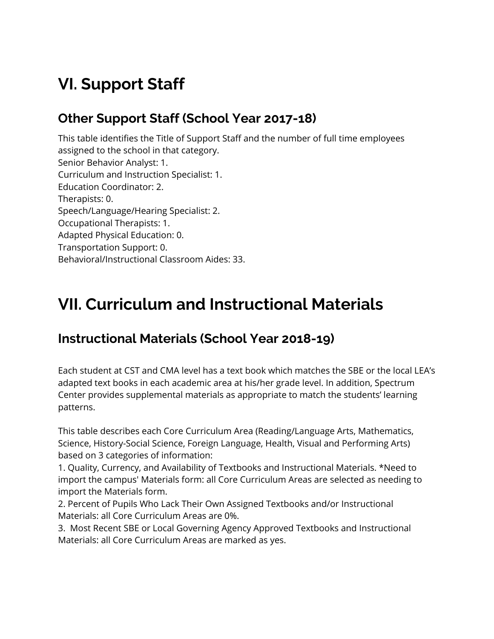## **VI. Support Staff**

#### **Other Support Staff (School Year 2017-18)**

 This table identifies the Title of Support Staff and the number of full time employees assigned to the school in that category. Senior Behavior Analyst: 1. Curriculum and Instruction Specialist: 1. Speech/Language/Hearing Specialist: 2. Adapted Physical Education: 0. Transportation Support: 0. Behavioral/Instructional Classroom Aides: 33. Education Coordinator: 2. Therapists: 0. Occupational Therapists: 1.

## **VII. Curriculum and Instructional Materials**

#### **Instructional Materials (School Year 2018-19)**

 Each student at CST and CMA level has a text book which matches the SBE or the local LEA's adapted text books in each academic area at his/her grade level. In addition, Spectrum Center provides supplemental materials as appropriate to match the students' learning patterns.

 This table describes each Core Curriculum Area (Reading/Language Arts, Mathematics, Science, History-Social Science, Foreign Language, Health, Visual and Performing Arts) based on 3 categories of information:

 1. Quality, Currency, and Availability of Textbooks and Instructional Materials. \*Need to import the campus' Materials form: all Core Curriculum Areas are selected as needing to import the Materials form.

 2. Percent of Pupils Who Lack Their Own Assigned Textbooks and/or Instructional Materials: all Core Curriculum Areas are 0%.

 3. Most Recent SBE or Local Governing Agency Approved Textbooks and Instructional Materials: all Core Curriculum Areas are marked as yes.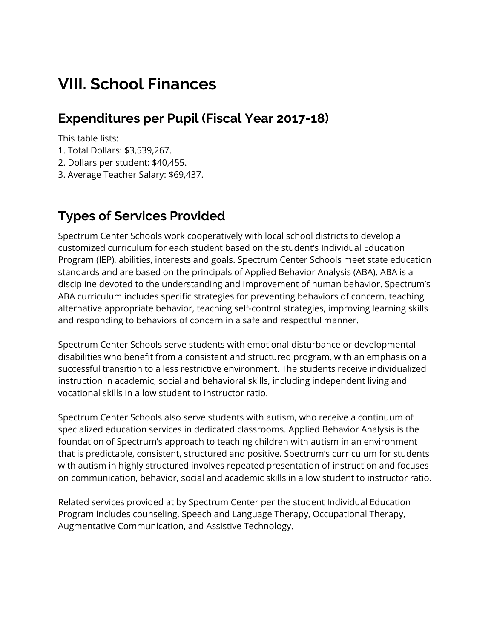## **VIII. School Finances**

#### **Expenditures per Pupil (Fiscal Year 2017-18)**

This table lists:

- 1. Total Dollars: \$3,539,267.
- 2. Dollars per student: \$40,455.
- 3. Average Teacher Salary: \$69,437.

### **Types of Services Provided**

 Spectrum Center Schools work cooperatively with local school districts to develop a customized curriculum for each student based on the student's Individual Education Program (IEP), abilities, interests and goals. Spectrum Center Schools meet state education standards and are based on the principals of Applied Behavior Analysis (ABA). ABA is a discipline devoted to the understanding and improvement of human behavior. Spectrum's ABA curriculum includes specific strategies for preventing behaviors of concern, teaching alternative appropriate behavior, teaching self-control strategies, improving learning skills and responding to behaviors of concern in a safe and respectful manner.

 Spectrum Center Schools serve students with emotional disturbance or developmental disabilities who benefit from a consistent and structured program, with an emphasis on a successful transition to a less restrictive environment. The students receive individualized instruction in academic, social and behavioral skills, including independent living and vocational skills in a low student to instructor ratio.

 Spectrum Center Schools also serve students with autism, who receive a continuum of specialized education services in dedicated classrooms. Applied Behavior Analysis is the foundation of Spectrum's approach to teaching children with autism in an environment that is predictable, consistent, structured and positive. Spectrum's curriculum for students with autism in highly structured involves repeated presentation of instruction and focuses on communication, behavior, social and academic skills in a low student to instructor ratio.

 Related services provided at by Spectrum Center per the student Individual Education Program includes counseling, Speech and Language Therapy, Occupational Therapy, Augmentative Communication, and Assistive Technology.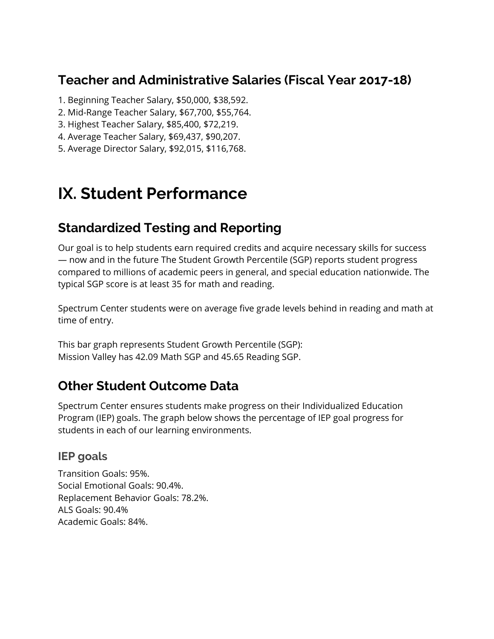#### **Teacher and Administrative Salaries (Fiscal Year 2017-18)**

- 1. Beginning Teacher Salary, \$50,000, \$38,592.
- 2. Mid-Range Teacher Salary, \$67,700, \$55,764.
- 3. Highest Teacher Salary, \$85,400, \$72,219.
- 4. Average Teacher Salary, \$69,437, \$90,207.
- 5. Average Director Salary, \$92,015, \$116,768.

### **IX. Student Performance**

#### **Standardized Testing and Reporting**

 Our goal is to help students earn required credits and acquire necessary skills for success — now and in the future The Student Growth Percentile (SGP) reports student progress compared to millions of academic peers in general, and special education nationwide. The typical SGP score is at least 35 for math and reading.

 Spectrum Center students were on average five grade levels behind in reading and math at time of entry.

 This bar graph represents Student Growth Percentile (SGP): Mission Valley has 42.09 Math SGP and 45.65 Reading SGP.

#### **Other Student Outcome Data**

 Spectrum Center ensures students make progress on their Individualized Education Program (IEP) goals. The graph below shows the percentage of IEP goal progress for students in each of our learning environments.

#### **IEP goals**

 Transition Goals: 95%. Social Emotional Goals: 90.4%. Replacement Behavior Goals: 78.2%. ALS Goals: 90.4% Academic Goals: 84%.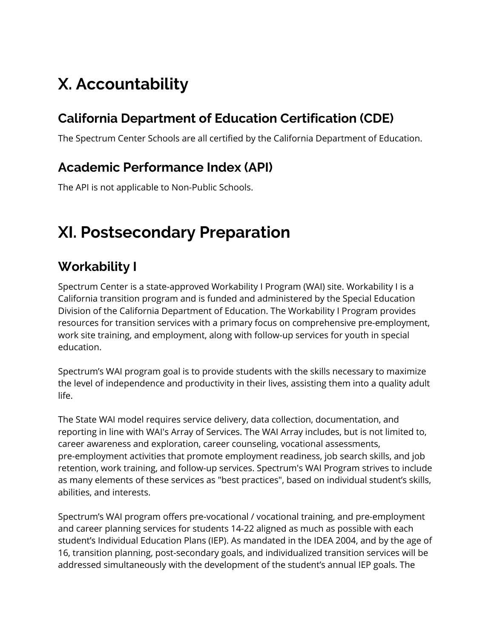## **X. Accountability**

### **California Department of Education Certification (CDE)**

The Spectrum Center Schools are all certified by the California Department of Education.

#### **Academic Performance Index (API)**

The API is not applicable to Non-Public Schools.

## **XI. Postsecondary Preparation**

### **Workability I**

 Spectrum Center is a state-approved Workability I Program (WAI) site. Workability I is a California transition program and is funded and administered by the Special Education Division of the California Department of Education. The Workability I Program provides resources for transition services with a primary focus on comprehensive pre-employment, work site training, and employment, along with follow-up services for youth in special education.

 Spectrum's WAI program goal is to provide students with the skills necessary to maximize the level of independence and productivity in their lives, assisting them into a quality adult life.

 The State WAI model requires service delivery, data collection, documentation, and reporting in line with WAI's Array of Services. The WAI Array includes, but is not limited to, career awareness and exploration, career counseling, vocational assessments, pre-employment activities that promote employment readiness, job search skills, and job retention, work training, and follow-up services. Spectrum's WAI Program strives to include as many elements of these services as "best practices", based on individual student's skills, abilities, and interests.

 Spectrum's WAI program offers pre-vocational / vocational training, and pre-employment and career planning services for students 14-22 aligned as much as possible with each student's Individual Education Plans (IEP). As mandated in the IDEA 2004, and by the age of 16, transition planning, post-secondary goals, and individualized transition services will be addressed simultaneously with the development of the student's annual IEP goals. The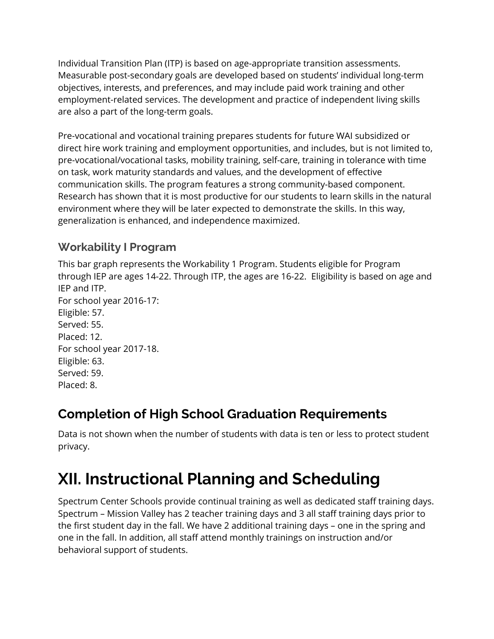Individual Transition Plan (ITP) is based on age-appropriate transition assessments. Measurable post-secondary goals are developed based on students' individual long-term objectives, interests, and preferences, and may include paid work training and other employment-related services. The development and practice of independent living skills are also a part of the long-term goals.

 Pre-vocational and vocational training prepares students for future WAI subsidized or direct hire work training and employment opportunities, and includes, but is not limited to, pre-vocational/vocational tasks, mobility training, self-care, training in tolerance with time on task, work maturity standards and values, and the development of effective communication skills. The program features a strong community-based component. Research has shown that it is most productive for our students to learn skills in the natural environment where they will be later expected to demonstrate the skills. In this way, generalization is enhanced, and independence maximized.

#### **Workability I Program**

 This bar graph represents the Workability 1 Program. Students eligible for Program through IEP are ages 14-22. Through ITP, the ages are 16-22. Eligibility is based on age and IEP and ITP.

 For school year 2016-17: For school year 2017-18. Eligible: 57. Served: 55. Placed: 12. Eligible: 63. Served: 59. Placed: 8.

### **Completion of High School Graduation Requirements**

 Data is not shown when the number of students with data is ten or less to protect student privacy.

## **XII. Instructional Planning and Scheduling**

 Spectrum Center Schools provide continual training as well as dedicated staff training days. Spectrum – Mission Valley has 2 teacher training days and 3 all staff training days prior to the first student day in the fall. We have 2 additional training days – one in the spring and one in the fall. In addition, all staff attend monthly trainings on instruction and/or behavioral support of students.